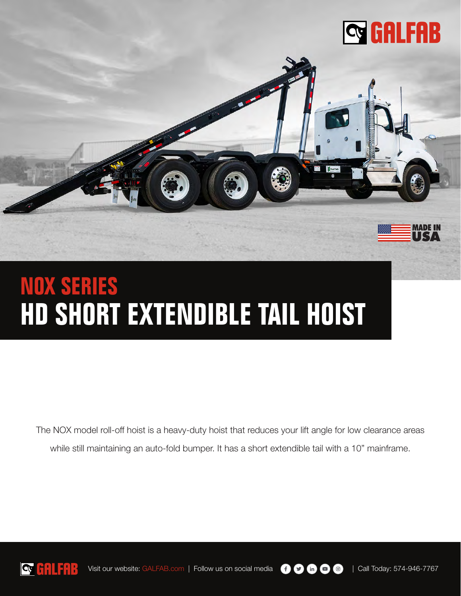



The NOX model roll-off hoist is a heavy-duty hoist that reduces your lift angle for low clearance areas while still maintaining an auto-fold bumper. It has a short extendible tail with a 10" mainframe.



Visit our website: GALFAB.com | Follow us on social media  $\bigoplus$   $\bigoplus$   $\bigoplus$   $\bigoplus$  | Call Today: 574-946-7767

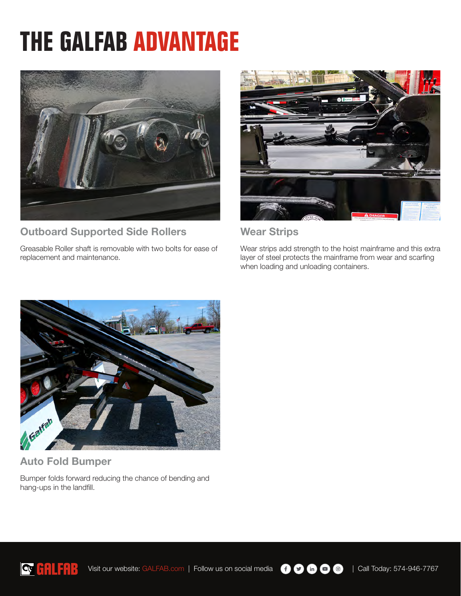# **THE GALFAB ADVANTAGE**



### Outboard Supported Side Rollers

Greasable Roller shaft is removable with two bolts for ease of replacement and maintenance.



#### Wear Strips

Wear strips add strength to the hoist mainframe and this extra layer of steel protects the mainframe from wear and scarfing when loading and unloading containers.



#### Auto Fold Bumper

Bumper folds forward reducing the chance of bending and hang-ups in the landfill.



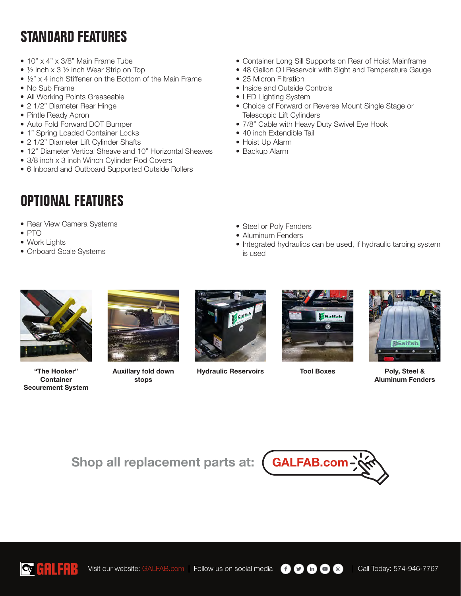## **STANDARD FEATURES**

- 10" x 4" x 3/8" Main Frame Tube
- ½ inch x 3 ½ inch Wear Strip on Top
- ½" x 4 inch Stiffener on the Bottom of the Main Frame
- No Sub Frame
- All Working Points Greaseable
- 2 1/2" Diameter Rear Hinge
- Pintle Ready Apron
- Auto Fold Forward DOT Bumper
- 1" Spring Loaded Container Locks
- 2 1/2" Diameter Lift Cylinder Shafts
- 12" Diameter Vertical Sheave and 10" Horizontal Sheaves
- 3/8 inch x 3 inch Winch Cylinder Rod Covers
- 6 Inboard and Outboard Supported Outside Rollers

## **OPTIONAL FEATURES**

- Rear View Camera Systems
- PTO
- Work Lights
- Onboard Scale Systems
- Container Long Sill Supports on Rear of Hoist Mainframe
- 48 Gallon Oil Reservoir with Sight and Temperature Gauge
- 25 Micron Filtration
- Inside and Outside Controls
- LED Lighting System
- Choice of Forward or Reverse Mount Single Stage or Telescopic Lift Cylinders
- 7/8" Cable with Heavy Duty Swivel Eye Hook
- 40 inch Extendible Tail
- Hoist Up Alarm
- Backup Alarm

- Steel or Poly Fenders
- Aluminum Fenders
- Integrated hydraulics can be used, if hydraulic tarping system is used



"The Hooker" **Container** Securement System



Auxillary fold down stops



Hydraulic Reservoirs Tool Boxes Poly, Steel &





Aluminum Fenders

Shop all replacement parts at: (GALFAB.com





Visit our website: GALFAB.com | Follow us on social media  $\bigoplus$   $\bigoplus$   $\bigoplus$   $\bigoplus$  | Call Today: 574-946-7767